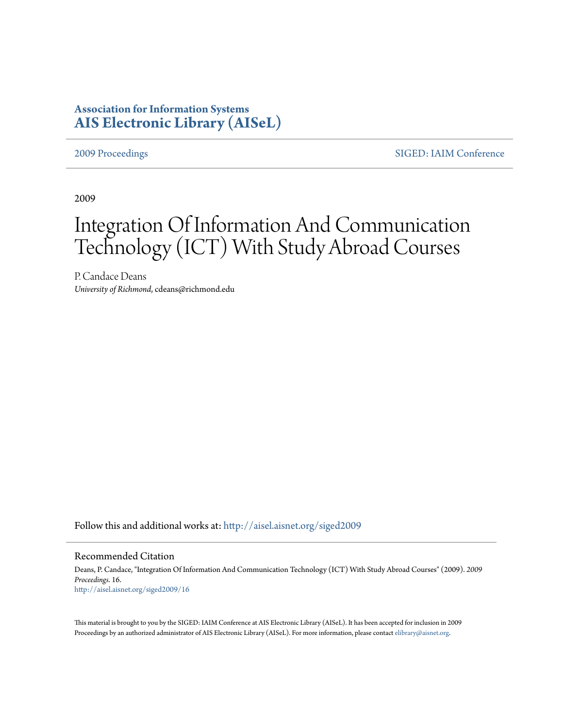# **Association for Information Systems [AIS Electronic Library \(AISeL\)](http://aisel.aisnet.org?utm_source=aisel.aisnet.org%2Fsiged2009%2F16&utm_medium=PDF&utm_campaign=PDFCoverPages)**

[2009 Proceedings](http://aisel.aisnet.org/siged2009?utm_source=aisel.aisnet.org%2Fsiged2009%2F16&utm_medium=PDF&utm_campaign=PDFCoverPages) [SIGED: IAIM Conference](http://aisel.aisnet.org/siged?utm_source=aisel.aisnet.org%2Fsiged2009%2F16&utm_medium=PDF&utm_campaign=PDFCoverPages)

2009

# Integration Of Information And Communication Technology (ICT) With Study Abroad Courses

P. Candace Deans *University of Richmond*, cdeans@richmond.edu

Follow this and additional works at: [http://aisel.aisnet.org/siged2009](http://aisel.aisnet.org/siged2009?utm_source=aisel.aisnet.org%2Fsiged2009%2F16&utm_medium=PDF&utm_campaign=PDFCoverPages)

#### Recommended Citation

Deans, P. Candace, "Integration Of Information And Communication Technology (ICT) With Study Abroad Courses" (2009). *2009 Proceedings*. 16. [http://aisel.aisnet.org/siged2009/16](http://aisel.aisnet.org/siged2009/16?utm_source=aisel.aisnet.org%2Fsiged2009%2F16&utm_medium=PDF&utm_campaign=PDFCoverPages)

This material is brought to you by the SIGED: IAIM Conference at AIS Electronic Library (AISeL). It has been accepted for inclusion in 2009 Proceedings by an authorized administrator of AIS Electronic Library (AISeL). For more information, please contact [elibrary@aisnet.org](mailto:elibrary@aisnet.org%3E).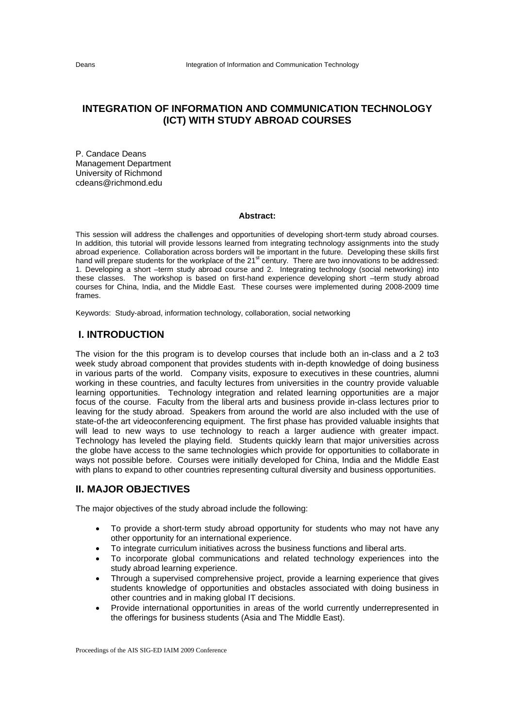# **INTEGRATION OF INFORMATION AND COMMUNICATION TECHNOLOGY (ICT) WITH STUDY ABROAD COURSES**

P. Candace Deans Management Department University of Richmond cdeans@richmond.edu

#### **Abstract:**

This session will address the challenges and opportunities of developing short-term study abroad courses. In addition, this tutorial will provide lessons learned from integrating technology assignments into the study abroad experience. Collaboration across borders will be important in the future. Developing these skills first hand will prepare students for the workplace of the 21<sup>st</sup> century. There are two innovations to be addressed: 1. Developing a short –term study abroad course and 2. Integrating technology (social networking) into these classes. The workshop is based on first-hand experience developing short –term study abroad courses for China, India, and the Middle East. These courses were implemented during 2008-2009 time frames.

Keywords: Study-abroad, information technology, collaboration, social networking

## **I. INTRODUCTION**

The vision for the this program is to develop courses that include both an in-class and a 2 to3 week study abroad component that provides students with in-depth knowledge of doing business in various parts of the world. Company visits, exposure to executives in these countries, alumni working in these countries, and faculty lectures from universities in the country provide valuable learning opportunities. Technology integration and related learning opportunities are a major focus of the course. Faculty from the liberal arts and business provide in-class lectures prior to leaving for the study abroad. Speakers from around the world are also included with the use of state-of-the art videoconferencing equipment. The first phase has provided valuable insights that will lead to new ways to use technology to reach a larger audience with greater impact. Technology has leveled the playing field. Students quickly learn that major universities across the globe have access to the same technologies which provide for opportunities to collaborate in ways not possible before. Courses were initially developed for China, India and the Middle East with plans to expand to other countries representing cultural diversity and business opportunities.

### **II. MAJOR OBJECTIVES**

The major objectives of the study abroad include the following:

- To provide a short-term study abroad opportunity for students who may not have any other opportunity for an international experience.
- To integrate curriculum initiatives across the business functions and liberal arts.
- To incorporate global communications and related technology experiences into the study abroad learning experience.
- Through a supervised comprehensive project, provide a learning experience that gives students knowledge of opportunities and obstacles associated with doing business in other countries and in making global IT decisions.
- Provide international opportunities in areas of the world currently underrepresented in the offerings for business students (Asia and The Middle East).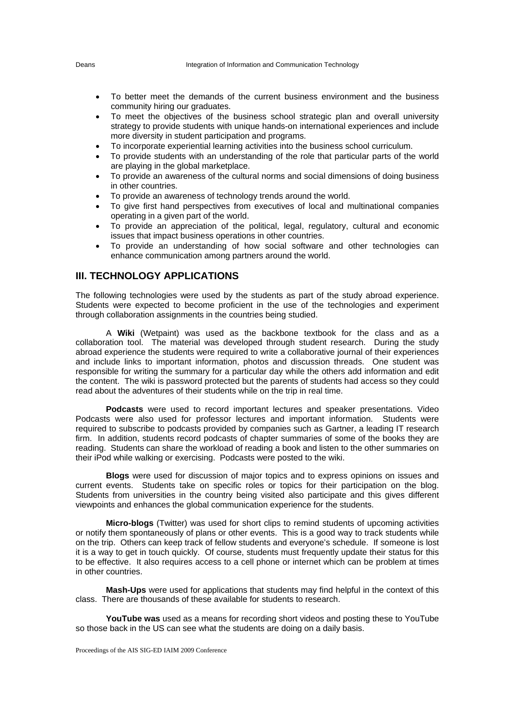- To better meet the demands of the current business environment and the business community hiring our graduates.
- To meet the objectives of the business school strategic plan and overall university strategy to provide students with unique hands-on international experiences and include more diversity in student participation and programs.
- To incorporate experiential learning activities into the business school curriculum.
- To provide students with an understanding of the role that particular parts of the world are playing in the global marketplace.
- To provide an awareness of the cultural norms and social dimensions of doing business in other countries.
- To provide an awareness of technology trends around the world.
- To give first hand perspectives from executives of local and multinational companies operating in a given part of the world.
- To provide an appreciation of the political, legal, regulatory, cultural and economic issues that impact business operations in other countries.
- To provide an understanding of how social software and other technologies can enhance communication among partners around the world.

#### **III. TECHNOLOGY APPLICATIONS**

The following technologies were used by the students as part of the study abroad experience. Students were expected to become proficient in the use of the technologies and experiment through collaboration assignments in the countries being studied.

A **Wiki** (Wetpaint) was used as the backbone textbook for the class and as a collaboration tool. The material was developed through student research. During the study abroad experience the students were required to write a collaborative journal of their experiences and include links to important information, photos and discussion threads. One student was responsible for writing the summary for a particular day while the others add information and edit the content. The wiki is password protected but the parents of students had access so they could read about the adventures of their students while on the trip in real time.

**Podcasts** were used to record important lectures and speaker presentations. Video Podcasts were also used for professor lectures and important information. Students were required to subscribe to podcasts provided by companies such as Gartner, a leading IT research firm. In addition, students record podcasts of chapter summaries of some of the books they are reading. Students can share the workload of reading a book and listen to the other summaries on their iPod while walking or exercising. Podcasts were posted to the wiki.

**Blogs** were used for discussion of major topics and to express opinions on issues and current events. Students take on specific roles or topics for their participation on the blog. Students from universities in the country being visited also participate and this gives different viewpoints and enhances the global communication experience for the students.

**Micro-blogs** (Twitter) was used for short clips to remind students of upcoming activities or notify them spontaneously of plans or other events. This is a good way to track students while on the trip. Others can keep track of fellow students and everyone's schedule. If someone is lost it is a way to get in touch quickly. Of course, students must frequently update their status for this to be effective. It also requires access to a cell phone or internet which can be problem at times in other countries.

**Mash-Ups** were used for applications that students may find helpful in the context of this class. There are thousands of these available for students to research.

**YouTube was** used as a means for recording short videos and posting these to YouTube so those back in the US can see what the students are doing on a daily basis.